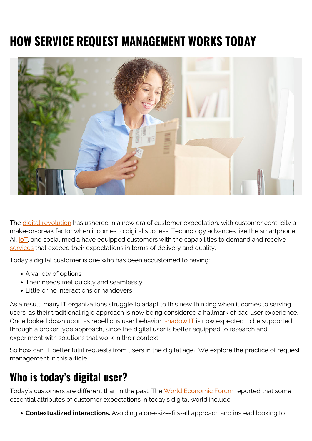# **HOW SERVICE REQUEST MANAGEMENT WORKS TODAY**



The [digital revolution](https://blogs.bmc.com/blogs/fourth-industrial-revolution/) has ushered in a new era of customer expectation, with customer centricity a make-or-break factor when it comes to digital success. Technology advances like the smartphone, AI,  $I \circ T$ , and social media have equipped customers with the capabilities to demand and receive [services](https://blogs.bmc.com/blogs/it-service/) that exceed their expectations in terms of delivery and quality.

Today's digital customer is one who has been accustomed to having:

- A variety of options
- Their needs met quickly and seamlessly
- Little or no interactions or handovers

As a result, many IT organizations struggle to adapt to this new thinking when it comes to serving users, as their traditional rigid approach is now being considered a hallmark of bad user experience. Once looked down upon as rebellious user behavior,  $shadow$  IT is now expected to be supported through a broker type approach, since the digital user is better equipped to research and experiment with solutions that work in their context.

So how can IT better fulfil requests from users in the digital age? We explore the practice of request management in this article.

### **Who is today's digital user?**

Today's customers are different than in the past. The [World Economic Forum](http://reports.weforum.org/digital-transformation/the-race-to-meet-customer-expectations/) reported that some essential attributes of customer expectations in today's digital world include:

**Contextualized interactions.** Avoiding a one-size-fits-all approach and instead looking to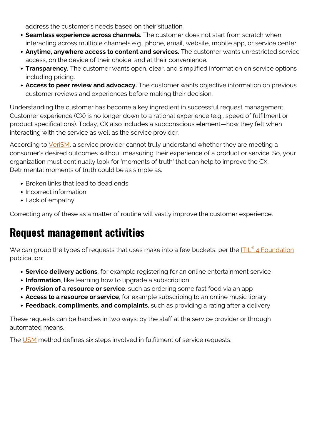address the customer's needs based on their situation.

- **Seamless experience across channels.** The customer does not start from scratch when interacting across multiple channels e.g., phone, email, website, mobile app, or service center.
- **Anytime, anywhere access to content and services.** The customer wants unrestricted service access, on the device of their choice, and at their convenience.
- **Transparency.** The customer wants open, clear, and simplified information on service options including pricing.
- **Access to peer review and advocacy.** The customer wants objective information on previous customer reviews and experiences before making their decision.

Understanding the customer has become a key ingredient in successful request management. Customer experience (CX) is no longer down to a rational experience (e.g., speed of fulfilment or product specifications). Today, CX also includes a subconscious element—how they felt when interacting with the service as well as the service provider.

According to [VeriSM,](https://blogs.bmc.com/blogs/verism-introduction/) a service provider cannot truly understand whether they are meeting a consumer's desired outcomes without measuring their experience of a product or service. So, your organization must continually look for 'moments of truth' that can help to improve the CX. Detrimental moments of truth could be as simple as:

- Broken links that lead to dead ends
- Incorrect information
- Lack of empathy

Correcting any of these as a matter of routine will vastly improve the customer experience.

#### **Request management activities**

We can group the types of requests that uses make into a few buckets, per the **[ITIL](https://www.axelos.com/store/book/itil-foundation-itil-4-edition)<sup>[®](https://www.axelos.com/store/book/itil-foundation-itil-4-edition)</sup> [4 Foundation](https://www.axelos.com/store/book/itil-foundation-itil-4-edition)** publication:

- **Service delivery actions**, for example registering for an online entertainment service
- **Information**, like learning how to upgrade a subscription
- **Provision of a resource or service**, such as ordering some fast food via an app
- **Access to a resource or service**, for example subscribing to an online music library
- **Feedback, compliments, and complaints**, such as providing a rating after a delivery

These requests can be handles in two ways: by the staff at the service provider or through automated means.

The [USM](https://usm-portal.com/) method defines six steps involved in fulfilment of service requests: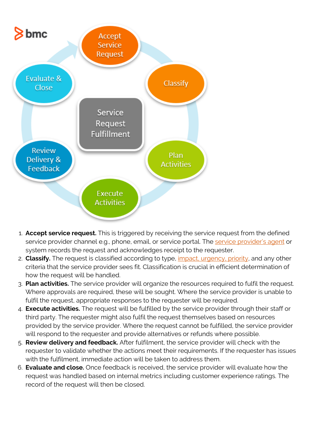

- 1. **Accept service request.** This is triggered by receiving the service request from the defined service provider channel e.g., phone, email, or service portal. The [service provider's agent](https://blogs.bmc.com/blogs/service-desk-support-analyst/) or system records the request and acknowledges receipt to the requester.
- 2. **Classify.** The request is classified according to type, [impact, urgency, priority,](https://blogs.bmc.com/blogs/impact-urgency-priority/) and any other criteria that the service provider sees fit. Classification is crucial in efficient determination of how the request will be handled.
- 3. **Plan activities.** The service provider will organize the resources required to fulfil the request. Where approvals are required, these will be sought. Where the service provider is unable to fulfil the request, appropriate responses to the requester will be required.
- 4. **Execute activities.** The request will be fulfilled by the service provider through their staff or third party. The requester might also fulfil the request themselves based on resources provided by the service provider. Where the request cannot be fulfilled, the service provider will respond to the requester and provide alternatives or refunds where possible.
- 5. **Review delivery and feedback.** After fulfilment, the service provider will check with the requester to validate whether the actions meet their requirements. If the requester has issues with the fulfilment, immediate action will be taken to address them.
- 6. **Evaluate and close.** Once feedback is received, the service provider will evaluate how the request was handled based on internal metrics including customer experience ratings. The record of the request will then be closed.